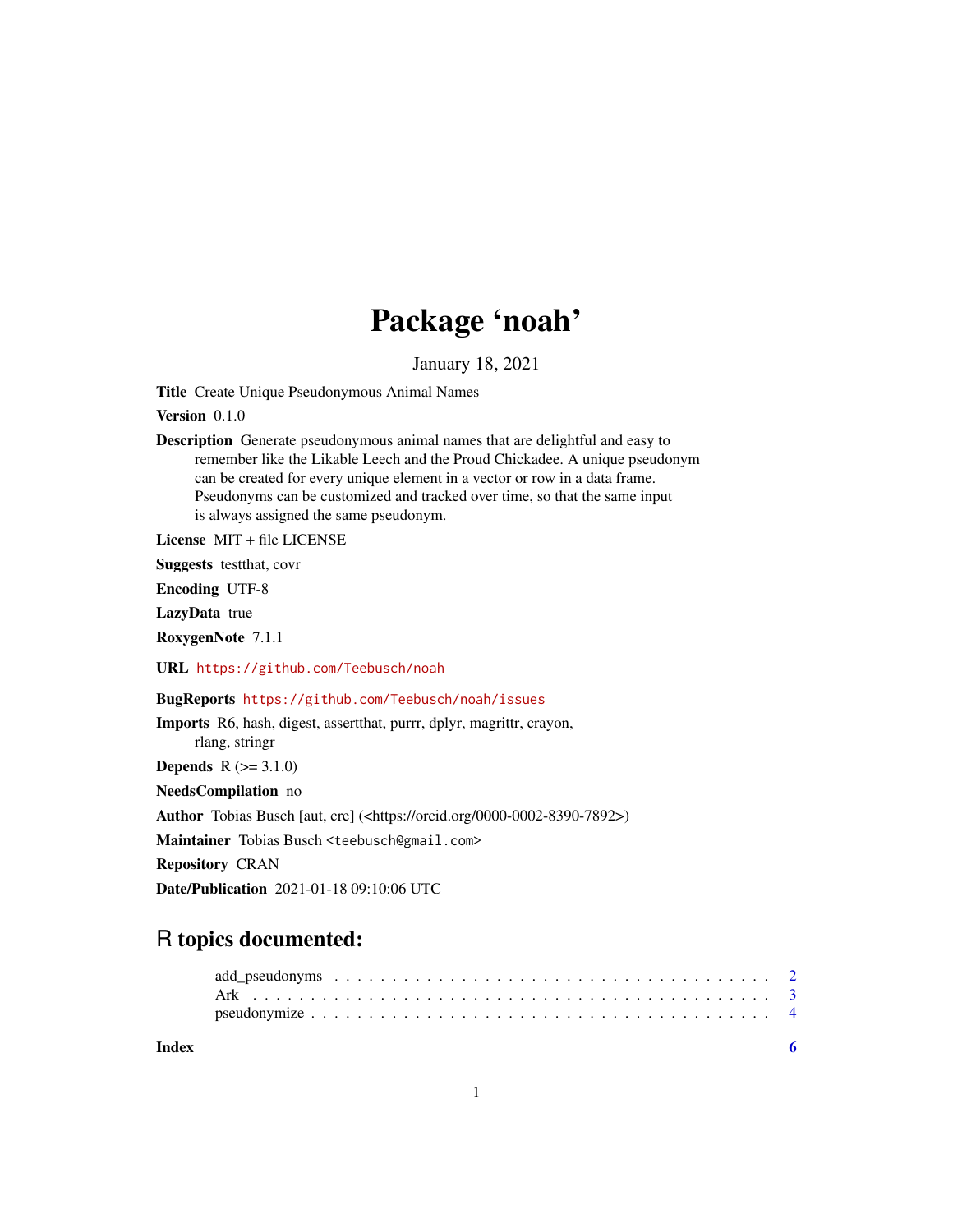## Package 'noah'

January 18, 2021

<span id="page-0-0"></span>Title Create Unique Pseudonymous Animal Names

Version 0.1.0

Description Generate pseudonymous animal names that are delightful and easy to remember like the Likable Leech and the Proud Chickadee. A unique pseudonym can be created for every unique element in a vector or row in a data frame. Pseudonyms can be customized and tracked over time, so that the same input is always assigned the same pseudonym.

License MIT + file LICENSE

Suggests testthat, covr

Encoding UTF-8

LazyData true

RoxygenNote 7.1.1

URL <https://github.com/Teebusch/noah>

BugReports <https://github.com/Teebusch/noah/issues>

Imports R6, hash, digest, assertthat, purrr, dplyr, magrittr, crayon, rlang, stringr **Depends**  $R (=3.1.0)$ NeedsCompilation no

Author Tobias Busch [aut, cre] (<https://orcid.org/0000-0002-8390-7892>)

Maintainer Tobias Busch <teebusch@gmail.com>

Repository CRAN

Date/Publication 2021-01-18 09:10:06 UTC

### R topics documented:

| Index |  |
|-------|--|
|       |  |
|       |  |
|       |  |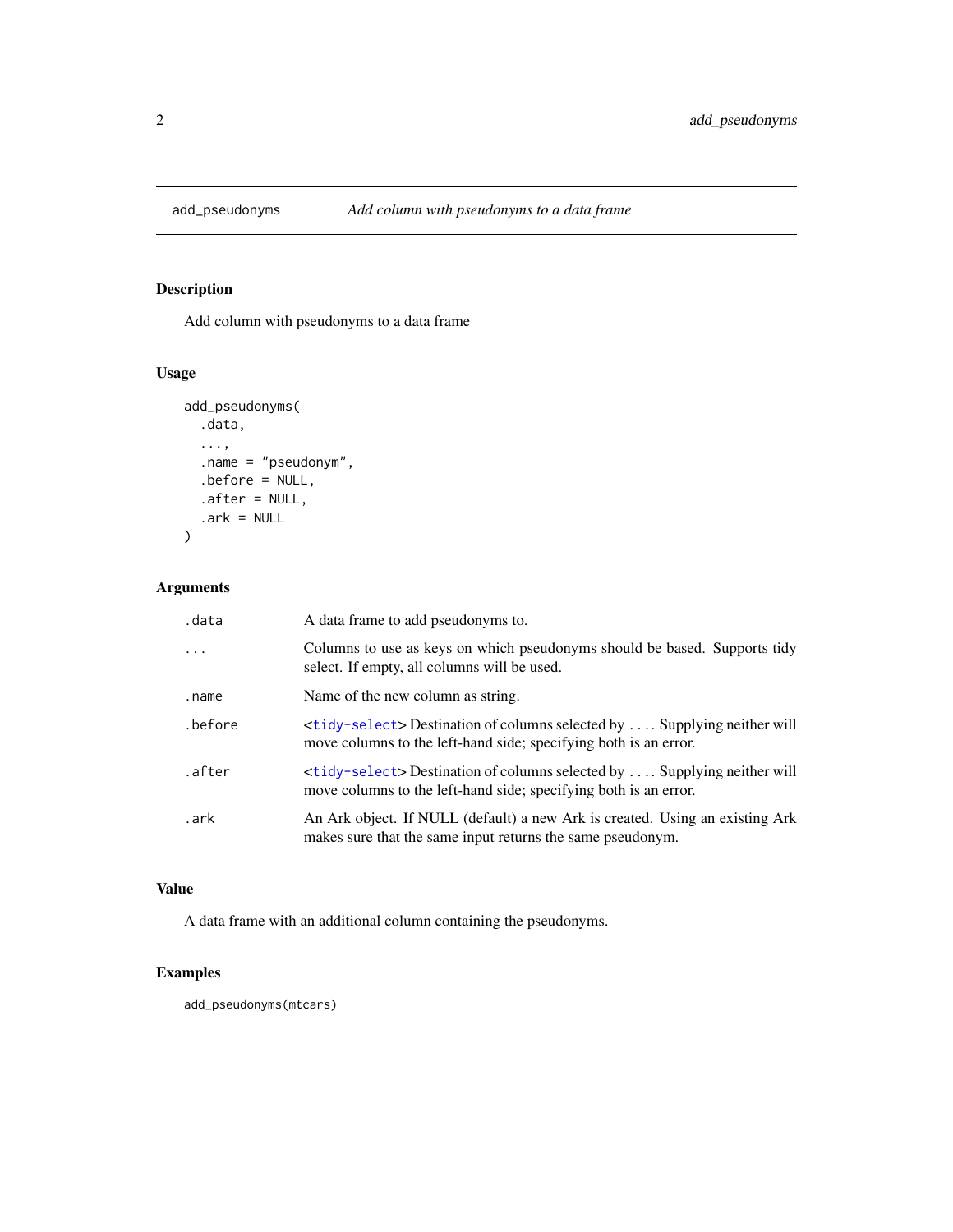<span id="page-1-0"></span>

#### Description

Add column with pseudonyms to a data frame

#### Usage

```
add_pseudonyms(
  .data,
  ...,
  .name = "pseudonym",
  .before = NULL,
  after = NULL,.ark = NULL)
```
#### Arguments

| .data   | A data frame to add pseudonyms to.                                                                                                                          |
|---------|-------------------------------------------------------------------------------------------------------------------------------------------------------------|
| .       | Columns to use as keys on which pseudonyms should be based. Supports tidy<br>select. If empty, all columns will be used.                                    |
| .name   | Name of the new column as string.                                                                                                                           |
| .before | <tidy-select> Destination of columns selected by  Supplying neither will<br/>move columns to the left-hand side; specifying both is an error.</tidy-select> |
| .after  | <tidy-select> Destination of columns selected by  Supplying neither will<br/>move columns to the left-hand side; specifying both is an error.</tidy-select> |
| .ark    | An Ark object. If NULL (default) a new Ark is created. Using an existing Ark<br>makes sure that the same input returns the same pseudonym.                  |

#### Value

A data frame with an additional column containing the pseudonyms.

#### Examples

add\_pseudonyms(mtcars)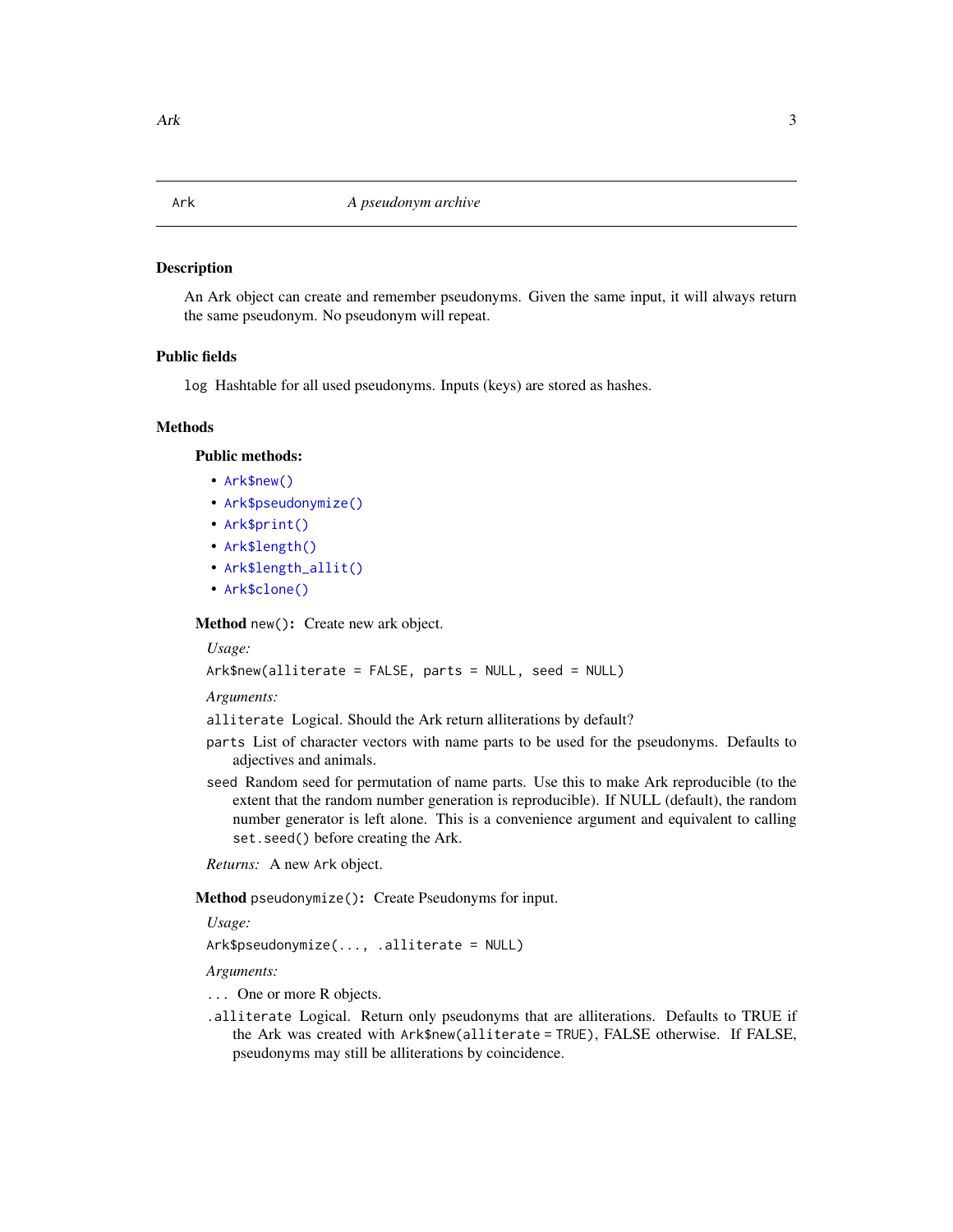#### <span id="page-2-0"></span>Description

An Ark object can create and remember pseudonyms. Given the same input, it will always return the same pseudonym. No pseudonym will repeat.

#### Public fields

log Hashtable for all used pseudonyms. Inputs (keys) are stored as hashes.

#### Methods

#### Public methods:

- [Ark\\$new\(\)](#page-2-1)
- [Ark\\$pseudonymize\(\)](#page-2-2)
- [Ark\\$print\(\)](#page-3-1)
- [Ark\\$length\(\)](#page-3-2)
- [Ark\\$length\\_allit\(\)](#page-3-3)
- [Ark\\$clone\(\)](#page-3-4)

<span id="page-2-1"></span>Method new(): Create new ark object.

*Usage:* Ark\$new(alliterate = FALSE, parts = NULL, seed = NULL)

*Arguments:*

alliterate Logical. Should the Ark return alliterations by default?

- parts List of character vectors with name parts to be used for the pseudonyms. Defaults to adjectives and animals.
- seed Random seed for permutation of name parts. Use this to make Ark reproducible (to the extent that the random number generation is reproducible). If NULL (default), the random number generator is left alone. This is a convenience argument and equivalent to calling set.seed() before creating the Ark.

*Returns:* A new Ark object.

<span id="page-2-2"></span>Method pseudonymize(): Create Pseudonyms for input.

*Usage:*

Ark\$pseudonymize(..., .alliterate = NULL)

*Arguments:*

- ... One or more R objects.
- .alliterate Logical. Return only pseudonyms that are alliterations. Defaults to TRUE if the Ark was created with Ark\$new(alliterate = TRUE), FALSE otherwise. If FALSE, pseudonyms may still be alliterations by coincidence.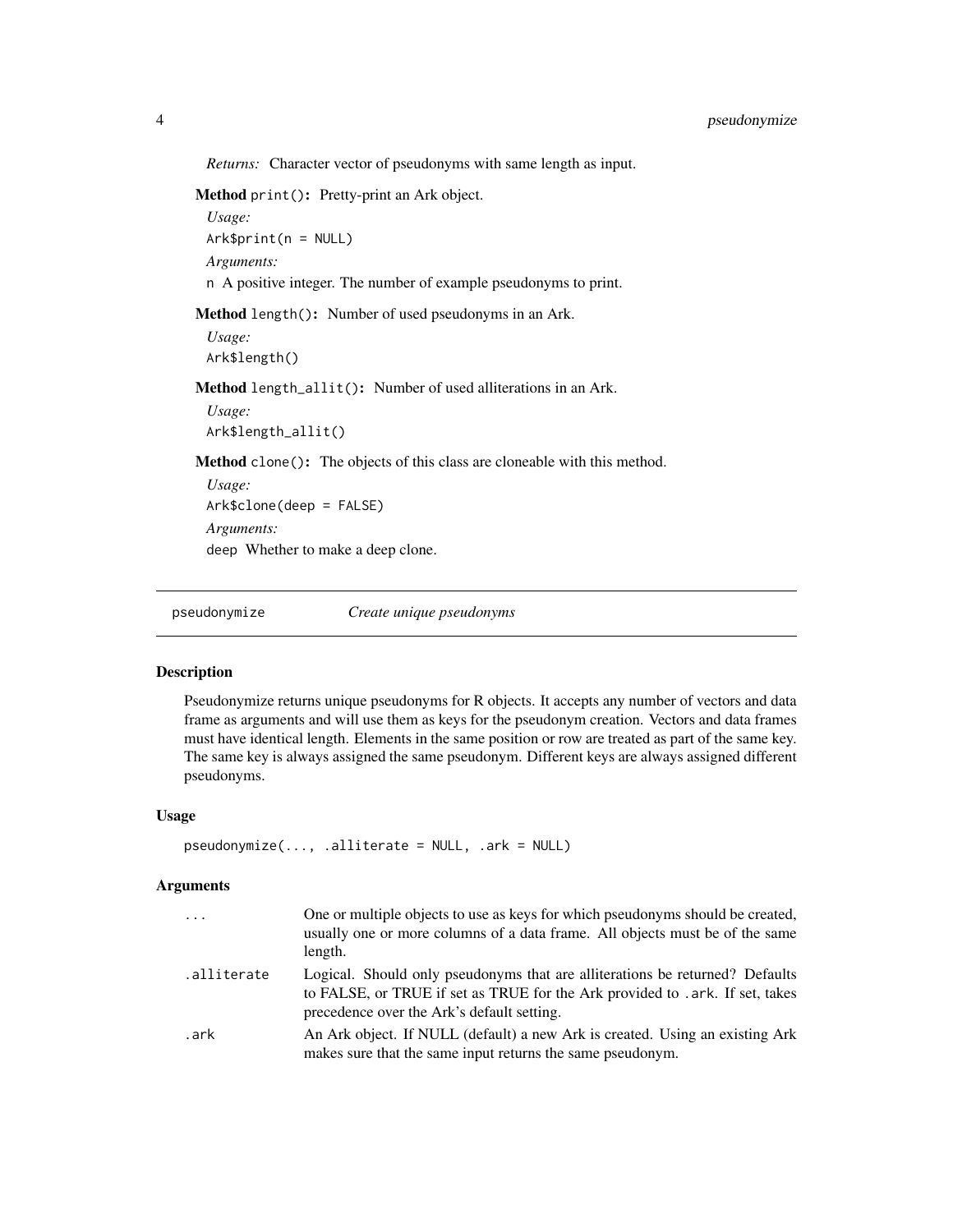<span id="page-3-0"></span>*Returns:* Character vector of pseudonyms with same length as input.

<span id="page-3-1"></span>Method print(): Pretty-print an Ark object.

*Usage:* Ark\$print(n = NULL) *Arguments:* n A positive integer. The number of example pseudonyms to print.

<span id="page-3-2"></span>Method length(): Number of used pseudonyms in an Ark.

```
Usage:
Ark$length()
```
<span id="page-3-3"></span>Method length\_allit(): Number of used alliterations in an Ark.

*Usage:* Ark\$length\_allit()

<span id="page-3-4"></span>Method clone(): The objects of this class are cloneable with this method.

*Usage:* Ark\$clone(deep = FALSE) *Arguments:* deep Whether to make a deep clone.

pseudonymize *Create unique pseudonyms*

#### Description

Pseudonymize returns unique pseudonyms for R objects. It accepts any number of vectors and data frame as arguments and will use them as keys for the pseudonym creation. Vectors and data frames must have identical length. Elements in the same position or row are treated as part of the same key. The same key is always assigned the same pseudonym. Different keys are always assigned different pseudonyms.

#### Usage

```
pseudonymize(..., .alliterate = NULL, .ark = NULL)
```
#### Arguments

| $\cdot$     | One or multiple objects to use as keys for which pseudonyms should be created,<br>usually one or more columns of a data frame. All objects must be of the same<br>length.                                   |
|-------------|-------------------------------------------------------------------------------------------------------------------------------------------------------------------------------------------------------------|
| .alliterate | Logical. Should only pseudonyms that are alliterations be returned? Defaults<br>to FALSE, or TRUE if set as TRUE for the Ark provided to . ark. If set, takes<br>precedence over the Ark's default setting. |
| .ark        | An Ark object. If NULL (default) a new Ark is created. Using an existing Ark<br>makes sure that the same input returns the same pseudonym.                                                                  |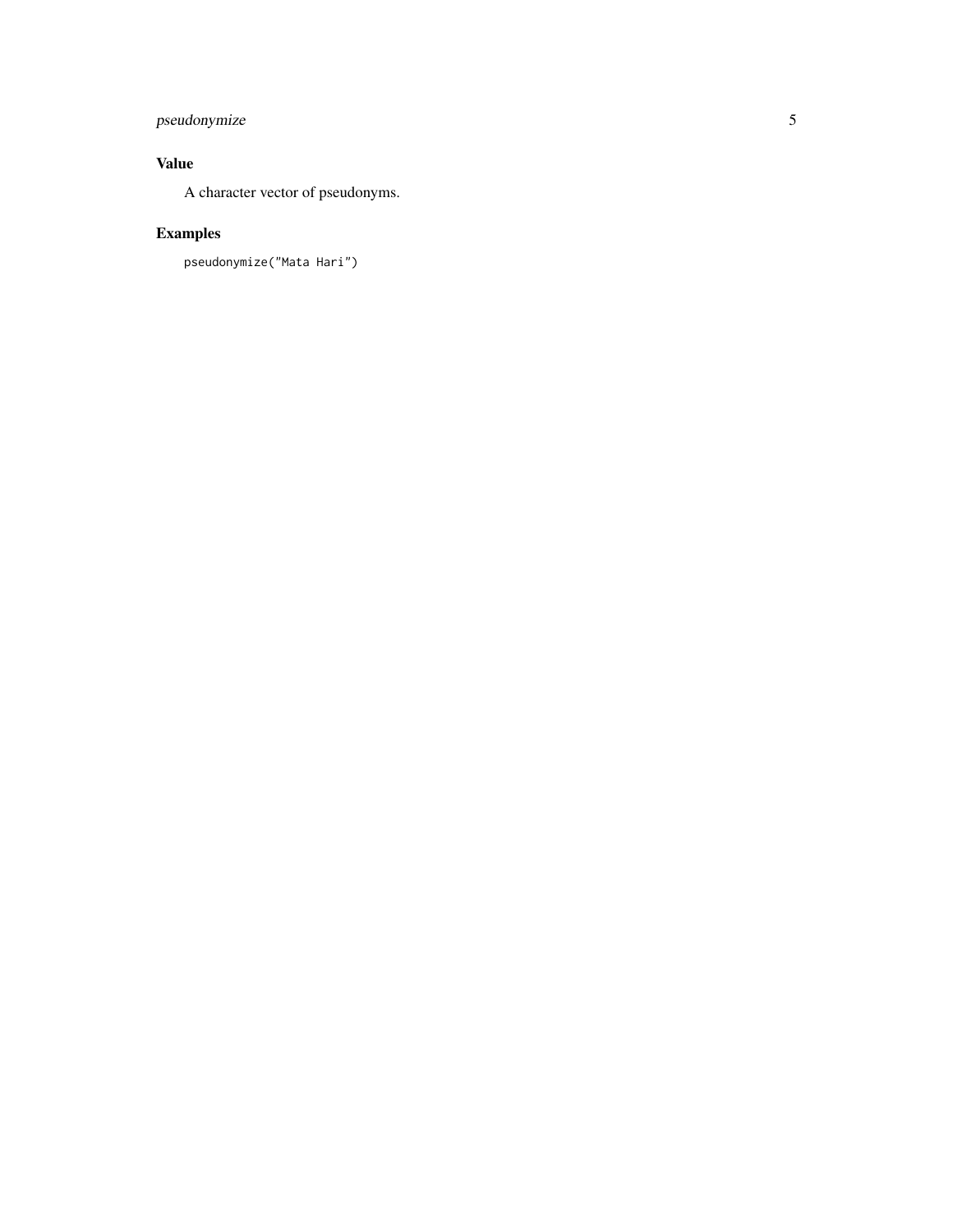#### pseudonymize

#### Value

A character vector of pseudonyms.

#### Examples

pseudonymize("Mata Hari")